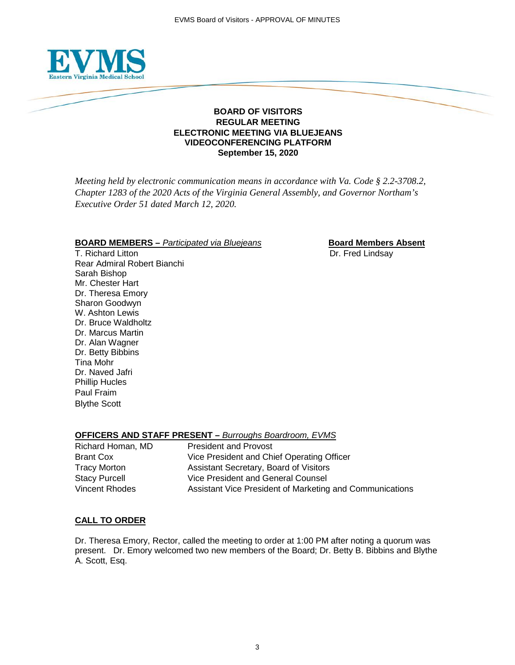

#### **BOARD OF VISITORS REGULAR MEETING ELECTRONIC MEETING VIA BLUEJEANS VIDEOCONFERENCING PLATFORM September 15, 2020**

*Meeting held by electronic communication means in accordance with Va. Code § 2.2-3708.2, Chapter 1283 of the 2020 Acts of the Virginia General Assembly, and Governor Northam's Executive Order 51 dated March 12, 2020.*

#### **BOARD MEMBERS** – *Participated via Bluejeans* **Board Members Absent**

T. Richard Litton **Dr. Fred Lindsay** Rear Admiral Robert Bianchi Sarah Bishop Mr. Chester Hart Dr. Theresa Emory Sharon Goodwyn W. Ashton Lewis Dr. Bruce Waldholtz Dr. Marcus Martin Dr. Alan Wagner Dr. Betty Bibbins Tina Mohr Dr. Naved Jafri Phillip Hucles Paul Fraim Blythe Scott

## **OFFICERS AND STAFF PRESENT –** *Burroughs Boardroom, EVMS*

| Richard Homan, MD    | <b>President and Provost</b>                             |
|----------------------|----------------------------------------------------------|
| Brant Cox            | Vice President and Chief Operating Officer               |
| <b>Tracy Morton</b>  | Assistant Secretary, Board of Visitors                   |
| <b>Stacy Purcell</b> | Vice President and General Counsel                       |
| Vincent Rhodes       | Assistant Vice President of Marketing and Communications |

### **CALL TO ORDER**

Dr. Theresa Emory, Rector, called the meeting to order at 1:00 PM after noting a quorum was present. Dr. Emory welcomed two new members of the Board; Dr. Betty B. Bibbins and Blythe A. Scott, Esq.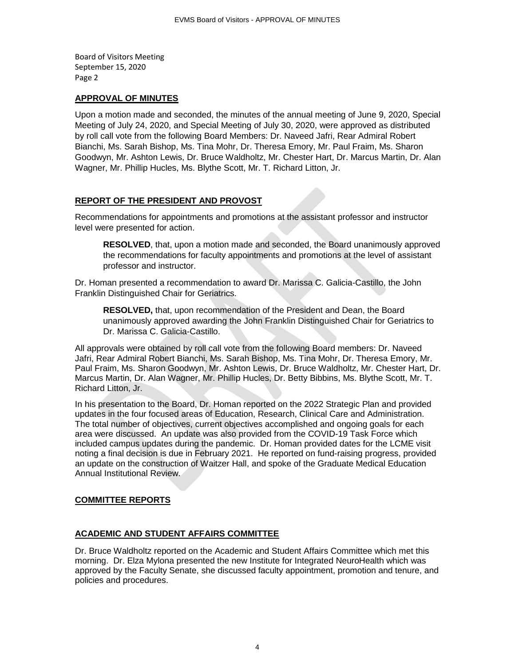#### **APPROVAL OF MINUTES**

Upon a motion made and seconded, the minutes of the annual meeting of June 9, 2020, Special Meeting of July 24, 2020, and Special Meeting of July 30, 2020, were approved as distributed by roll call vote from the following Board Members: Dr. Naveed Jafri, Rear Admiral Robert Bianchi, Ms. Sarah Bishop, Ms. Tina Mohr, Dr. Theresa Emory, Mr. Paul Fraim, Ms. Sharon Goodwyn, Mr. Ashton Lewis, Dr. Bruce Waldholtz, Mr. Chester Hart, Dr. Marcus Martin, Dr. Alan Wagner, Mr. Phillip Hucles, Ms. Blythe Scott, Mr. T. Richard Litton, Jr.

### **REPORT OF THE PRESIDENT AND PROVOST**

Recommendations for appointments and promotions at the assistant professor and instructor level were presented for action.

**RESOLVED**, that, upon a motion made and seconded, the Board unanimously approved the recommendations for faculty appointments and promotions at the level of assistant professor and instructor.

Dr. Homan presented a recommendation to award Dr. Marissa C. Galicia-Castillo, the John Franklin Distinguished Chair for Geriatrics.

**RESOLVED,** that, upon recommendation of the President and Dean, the Board unanimously approved awarding the John Franklin Distinguished Chair for Geriatrics to Dr. Marissa C. Galicia-Castillo.

All approvals were obtained by roll call vote from the following Board members: Dr. Naveed Jafri, Rear Admiral Robert Bianchi, Ms. Sarah Bishop, Ms. Tina Mohr, Dr. Theresa Emory, Mr. Paul Fraim, Ms. Sharon Goodwyn, Mr. Ashton Lewis, Dr. Bruce Waldholtz, Mr. Chester Hart, Dr. Marcus Martin, Dr. Alan Wagner, Mr. Phillip Hucles, Dr. Betty Bibbins, Ms. Blythe Scott, Mr. T. Richard Litton, Jr.

In his presentation to the Board, Dr. Homan reported on the 2022 Strategic Plan and provided updates in the four focused areas of Education, Research, Clinical Care and Administration. The total number of objectives, current objectives accomplished and ongoing goals for each area were discussed. An update was also provided from the COVID-19 Task Force which included campus updates during the pandemic. Dr. Homan provided dates for the LCME visit noting a final decision is due in February 2021. He reported on fund-raising progress, provided an update on the construction of Waitzer Hall, and spoke of the Graduate Medical Education Annual Institutional Review.

### **COMMITTEE REPORTS**

### **ACADEMIC AND STUDENT AFFAIRS COMMITTEE**

Dr. Bruce Waldholtz reported on the Academic and Student Affairs Committee which met this morning. Dr. Elza Mylona presented the new Institute for Integrated NeuroHealth which was approved by the Faculty Senate, she discussed faculty appointment, promotion and tenure, and policies and procedures.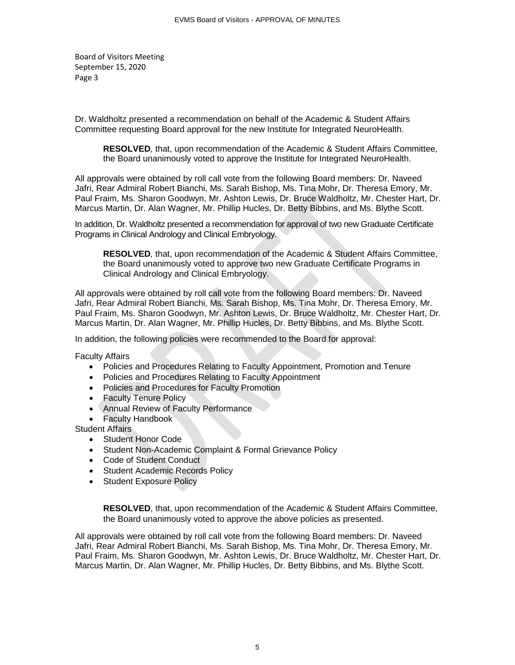Dr. Waldholtz presented a recommendation on behalf of the Academic & Student Affairs Committee requesting Board approval for the new Institute for Integrated NeuroHealth.

**RESOLVED***,* that, upon recommendation of the Academic & Student Affairs Committee, the Board unanimously voted to approve the Institute for Integrated NeuroHealth.

All approvals were obtained by roll call vote from the following Board members: Dr. Naveed Jafri, Rear Admiral Robert Bianchi, Ms. Sarah Bishop, Ms. Tina Mohr, Dr. Theresa Emory, Mr. Paul Fraim, Ms. Sharon Goodwyn, Mr. Ashton Lewis, Dr. Bruce Waldholtz, Mr. Chester Hart, Dr. Marcus Martin, Dr. Alan Wagner, Mr. Phillip Hucles, Dr. Betty Bibbins, and Ms. Blythe Scott.

In addition, Dr. Waldholtz presented a recommendation for approval of two new Graduate Certificate Programs in Clinical Andrology and Clinical Embryology.

**RESOLVED***,* that, upon recommendation of the Academic & Student Affairs Committee, the Board unanimously voted to approve two new Graduate Certificate Programs in Clinical Andrology and Clinical Embryology.

All approvals were obtained by roll call vote from the following Board members: Dr. Naveed Jafri, Rear Admiral Robert Bianchi, Ms. Sarah Bishop, Ms. Tina Mohr, Dr. Theresa Emory, Mr. Paul Fraim, Ms. Sharon Goodwyn, Mr. Ashton Lewis, Dr. Bruce Waldholtz, Mr. Chester Hart, Dr. Marcus Martin, Dr. Alan Wagner, Mr. Phillip Hucles, Dr. Betty Bibbins, and Ms. Blythe Scott.

In addition, the following policies were recommended to the Board for approval:

Faculty Affairs

- Policies and Procedures Relating to Faculty Appointment, Promotion and Tenure
- Policies and Procedures Relating to Faculty Appointment
- Policies and Procedures for Faculty Promotion
- Faculty Tenure Policy
- Annual Review of Faculty Performance
- Faculty Handbook

Student Affairs

- Student Honor Code
- Student Non-Academic Complaint & Formal Grievance Policy
- Code of Student Conduct
- Student Academic Records Policy
- Student Exposure Policy

**RESOLVED**, that, upon recommendation of the Academic & Student Affairs Committee, the Board unanimously voted to approve the above policies as presented.

All approvals were obtained by roll call vote from the following Board members: Dr. Naveed Jafri, Rear Admiral Robert Bianchi, Ms. Sarah Bishop, Ms. Tina Mohr, Dr. Theresa Emory, Mr. Paul Fraim, Ms. Sharon Goodwyn, Mr. Ashton Lewis, Dr. Bruce Waldholtz, Mr. Chester Hart, Dr. Marcus Martin, Dr. Alan Wagner, Mr. Phillip Hucles, Dr. Betty Bibbins, and Ms. Blythe Scott.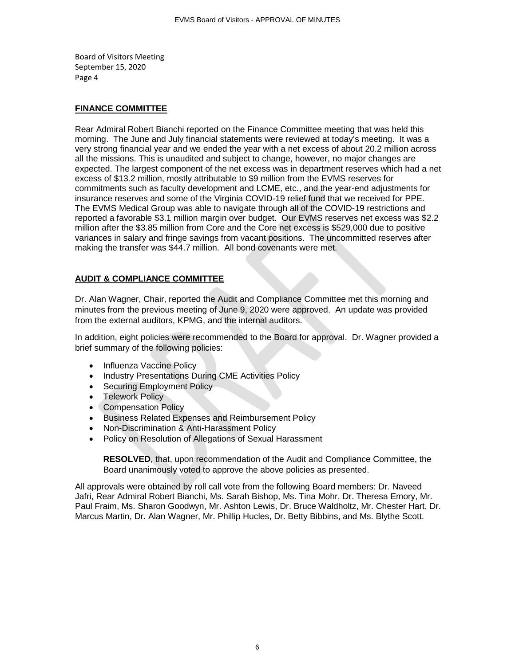#### **FINANCE COMMITTEE**

Rear Admiral Robert Bianchi reported on the Finance Committee meeting that was held this morning. The June and July financial statements were reviewed at today's meeting. It was a very strong financial year and we ended the year with a net excess of about 20.2 million across all the missions. This is unaudited and subject to change, however, no major changes are expected. The largest component of the net excess was in department reserves which had a net excess of \$13.2 million, mostly attributable to \$9 million from the EVMS reserves for commitments such as faculty development and LCME, etc., and the year-end adjustments for insurance reserves and some of the Virginia COVID-19 relief fund that we received for PPE. The EVMS Medical Group was able to navigate through all of the COVID-19 restrictions and reported a favorable \$3.1 million margin over budget. Our EVMS reserves net excess was \$2.2 million after the \$3.85 million from Core and the Core net excess is \$529,000 due to positive variances in salary and fringe savings from vacant positions. The uncommitted reserves after making the transfer was \$44.7 million. All bond covenants were met.

#### **AUDIT & COMPLIANCE COMMITTEE**

Dr. Alan Wagner, Chair, reported the Audit and Compliance Committee met this morning and minutes from the previous meeting of June 9, 2020 were approved. An update was provided from the external auditors, KPMG, and the internal auditors.

In addition, eight policies were recommended to the Board for approval. Dr. Wagner provided a brief summary of the following policies:

- Influenza Vaccine Policy
- Industry Presentations During CME Activities Policy
- Securing Employment Policy
- Telework Policy
- Compensation Policy
- Business Related Expenses and Reimbursement Policy
- Non-Discrimination & Anti-Harassment Policy
- Policy on Resolution of Allegations of Sexual Harassment

**RESOLVED**, that, upon recommendation of the Audit and Compliance Committee, the Board unanimously voted to approve the above policies as presented.

All approvals were obtained by roll call vote from the following Board members: Dr. Naveed Jafri, Rear Admiral Robert Bianchi, Ms. Sarah Bishop, Ms. Tina Mohr, Dr. Theresa Emory, Mr. Paul Fraim, Ms. Sharon Goodwyn, Mr. Ashton Lewis, Dr. Bruce Waldholtz, Mr. Chester Hart, Dr. Marcus Martin, Dr. Alan Wagner, Mr. Phillip Hucles, Dr. Betty Bibbins, and Ms. Blythe Scott.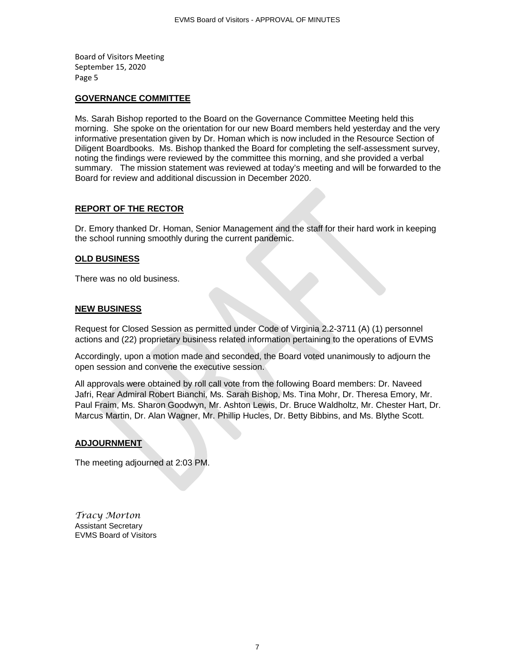#### **GOVERNANCE COMMITTEE**

Ms. Sarah Bishop reported to the Board on the Governance Committee Meeting held this morning. She spoke on the orientation for our new Board members held yesterday and the very informative presentation given by Dr. Homan which is now included in the Resource Section of Diligent Boardbooks. Ms. Bishop thanked the Board for completing the self-assessment survey, noting the findings were reviewed by the committee this morning, and she provided a verbal summary. The mission statement was reviewed at today's meeting and will be forwarded to the Board for review and additional discussion in December 2020.

### **REPORT OF THE RECTOR**

Dr. Emory thanked Dr. Homan, Senior Management and the staff for their hard work in keeping the school running smoothly during the current pandemic.

#### **OLD BUSINESS**

There was no old business.

#### **NEW BUSINESS**

Request for Closed Session as permitted under Code of Virginia 2.2-3711 (A) (1) personnel actions and (22) proprietary business related information pertaining to the operations of EVMS

Accordingly, upon a motion made and seconded, the Board voted unanimously to adjourn the open session and convene the executive session.

All approvals were obtained by roll call vote from the following Board members: Dr. Naveed Jafri, Rear Admiral Robert Bianchi, Ms. Sarah Bishop, Ms. Tina Mohr, Dr. Theresa Emory, Mr. Paul Fraim, Ms. Sharon Goodwyn, Mr. Ashton Lewis, Dr. Bruce Waldholtz, Mr. Chester Hart, Dr. Marcus Martin, Dr. Alan Wagner, Mr. Phillip Hucles, Dr. Betty Bibbins, and Ms. Blythe Scott.

### **ADJOURNMENT**

The meeting adjourned at 2:03 PM.

*Tracy Morton* Assistant Secretary EVMS Board of Visitors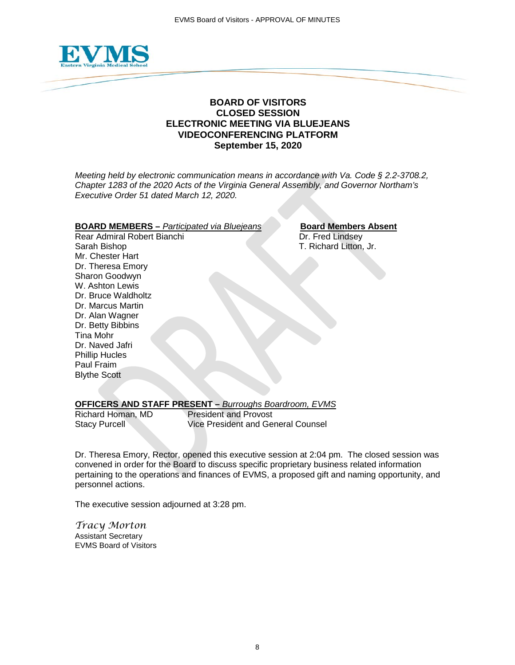

# **BOARD OF VISITORS CLOSED SESSION ELECTRONIC MEETING VIA BLUEJEANS VIDEOCONFERENCING PLATFORM September 15, 2020**

*Meeting held by electronic communication means in accordance with Va. Code § 2.2-3708.2, Chapter 1283 of the 2020 Acts of the Virginia General Assembly, and Governor Northam's Executive Order 51 dated March 12, 2020.*

# **BOARD MEMBERS** – *Participated via Bluejeans* **Board Members Absent**<br>Rear Admiral Robert Bianchi **Branchi** Dr. Fred Lindsey

Rear Admiral Robert Bianchi Sarah Bishop T. Richard Litton, Jr. Mr. Chester Hart Dr. Theresa Emory Sharon Goodwyn W. Ashton Lewis Dr. Bruce Waldholtz Dr. Marcus Martin Dr. Alan Wagner Dr. Betty Bibbins Tina Mohr Dr. Naved Jafri Phillip Hucles Paul Fraim Blythe Scott

### **OFFICERS AND STAFF PRESENT –** *Burroughs Boardroom, EVMS*

Richard Homan, MD<br>Stacy Purcell **President August 2018** Vice President and Ge Vice President and General Counsel

Dr. Theresa Emory, Rector, opened this executive session at 2:04 pm. The closed session was convened in order for the Board to discuss specific proprietary business related information pertaining to the operations and finances of EVMS, a proposed gift and naming opportunity, and personnel actions.

The executive session adjourned at 3:28 pm.

*Tracy Morton* Assistant Secretary EVMS Board of Visitors